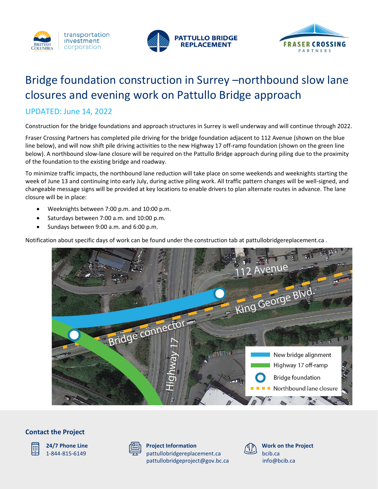





# Bridge foundation construction in Surrey –northbound slow lane closures and evening work on Pattullo Bridge approach

# UPDATED: June 14, 2022

Construction for the bridge foundations and approach structures in Surrey is well underway and will continue through 2022.

Fraser Crossing Partners has completed pile driving for the bridge foundation adjacent to 112 Avenue (shown on the blue line below), and will now shift pile driving activities to the new Highway 17 off-ramp foundation (shown on the green line below). A northbound slow-lane closure will be required on the Pattullo Bridge approach during piling due to the proximity of the foundation to the existing bridge and roadway.

To minimize traffic impacts, the northbound lane reduction will take place on some weekends and weeknights starting the week of June 13 and continuing into early July, during active piling work. All traffic pattern changes will be well-signed, and changeable message signs will be provided at key locations to enable drivers to plan alternate routes in advance. The lane closure will be in place:

- Weeknights between 7:00 p.m. and 10:00 p.m.
- Saturdays between 7:00 a.m. and 10:00 p.m.
- Sundays between 9:00 a.m. and 6:00 p.m.

Notification about specific days of work can be found under the construction tab at pattullobridgereplacement.ca .



## **Contact the Project**



**24/7 Phone Line** 1-844-815-6149



**Project Information** pattullobridgereplacement.ca [pattullobridgeproject@gov.bc.ca](mailto:pattullobridgeproject@gov.bc.ca)



**Work on the Project** bcib.ca [info@bcib.ca](mailto:info@bcib.ca)